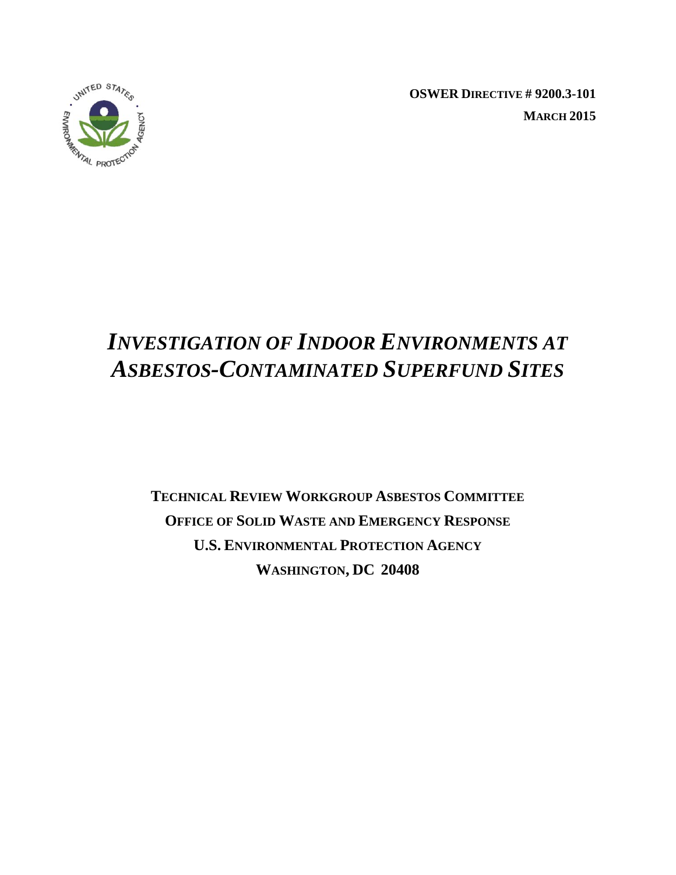

**OSWER DIRECTIVE # 9200.3-101 MARCH 2015** 

# *INVESTIGATION OF INDOOR ENVIRONMENTS AT ASBESTOS-CONTAMINATED SUPERFUND SITES*

 **WASHINGTON, DC 20408 TECHNICAL REVIEW WORKGROUP ASBESTOS COMMITTEE OFFICE OF SOLID WASTE AND EMERGENCY RESPONSE U.S. ENVIRONMENTAL PROTECTION AGENCY**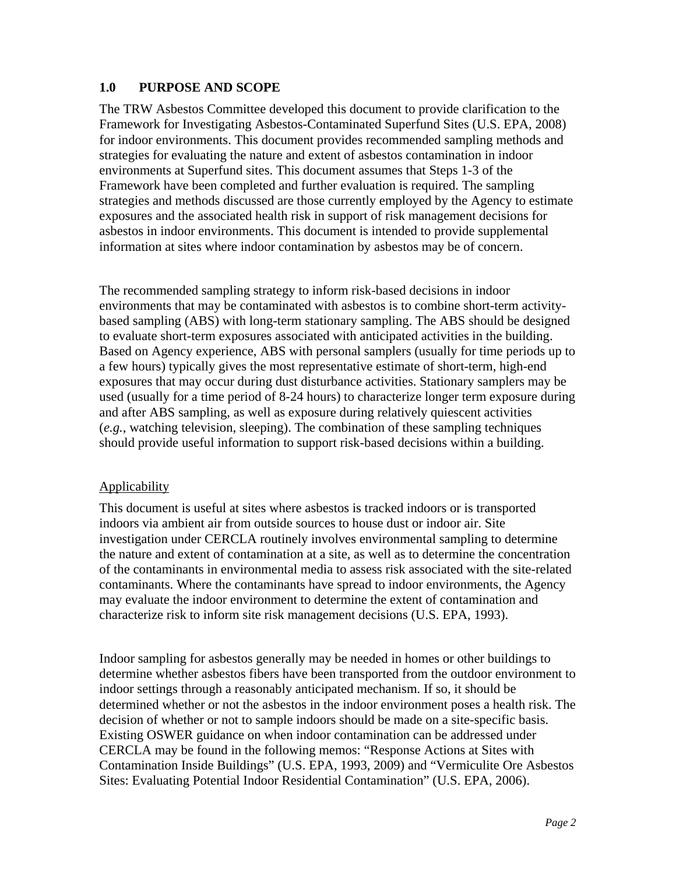# **1.0 PURPOSE AND SCOPE**

The TRW Asbestos Committee developed this document to provide clarification to the Framework for Investigating Asbestos-Contaminated Superfund Sites (U.S. EPA, 2008) for indoor environments. This document provides recommended sampling methods and strategies for evaluating the nature and extent of asbestos contamination in indoor environments at Superfund sites. This document assumes that Steps 1-3 of the Framework have been completed and further evaluation is required. The sampling strategies and methods discussed are those currently employed by the Agency to estimate exposures and the associated health risk in support of risk management decisions for asbestos in indoor environments. This document is intended to provide supplemental information at sites where indoor contamination by asbestos may be of concern.

The recommended sampling strategy to inform risk-based decisions in indoor environments that may be contaminated with asbestos is to combine short-term activitybased sampling (ABS) with long-term stationary sampling. The ABS should be designed to evaluate short-term exposures associated with anticipated activities in the building. Based on Agency experience, ABS with personal samplers (usually for time periods up to a few hours) typically gives the most representative estimate of short-term, high-end exposures that may occur during dust disturbance activities. Stationary samplers may be used (usually for a time period of 8-24 hours) to characterize longer term exposure during and after ABS sampling, as well as exposure during relatively quiescent activities (*e.g.*, watching television, sleeping). The combination of these sampling techniques should provide useful information to support risk-based decisions within a building.

#### Applicability

This document is useful at sites where asbestos is tracked indoors or is transported indoors via ambient air from outside sources to house dust or indoor air. Site investigation under CERCLA routinely involves environmental sampling to determine the nature and extent of contamination at a site, as well as to determine the concentration of the contaminants in environmental media to assess risk associated with the site-related contaminants. Where the contaminants have spread to indoor environments, the Agency may evaluate the indoor environment to determine the extent of contamination and characterize risk to inform site risk management decisions (U.S. EPA, 1993).

Indoor sampling for asbestos generally may be needed in homes or other buildings to determine whether asbestos fibers have been transported from the outdoor environment to indoor settings through a reasonably anticipated mechanism. If so, it should be determined whether or not the asbestos in the indoor environment poses a health risk. The decision of whether or not to sample indoors should be made on a site-specific basis. Existing OSWER guidance on when indoor contamination can be addressed under CERCLA may be found in the following memos: "Response Actions at Sites with Contamination Inside Buildings" (U.S. EPA, 1993, 2009) and "Vermiculite Ore Asbestos Sites: Evaluating Potential Indoor Residential Contamination" (U.S. EPA, 2006).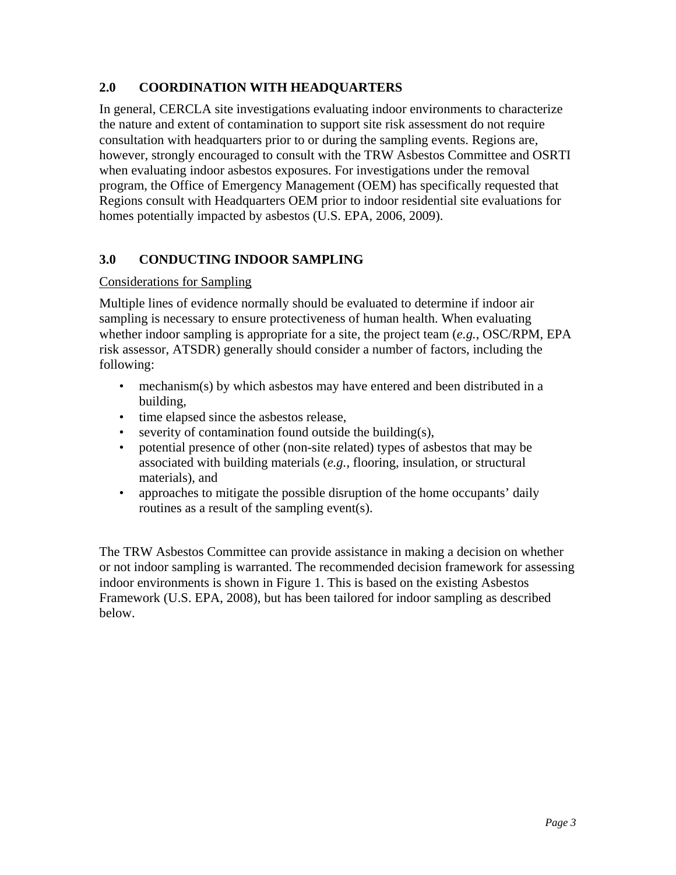# **2.0 COORDINATION WITH HEADQUARTERS**

In general, CERCLA site investigations evaluating indoor environments to characterize the nature and extent of contamination to support site risk assessment do not require consultation with headquarters prior to or during the sampling events. Regions are, however, strongly encouraged to consult with the TRW Asbestos Committee and OSRTI when evaluating indoor asbestos exposures. For investigations under the removal program, the Office of Emergency Management (OEM) has specifically requested that Regions consult with Headquarters OEM prior to indoor residential site evaluations for homes potentially impacted by asbestos (U.S. EPA, 2006, 2009).

# **3.0 CONDUCTING INDOOR SAMPLING**

# Considerations for Sampling

Multiple lines of evidence normally should be evaluated to determine if indoor air sampling is necessary to ensure protectiveness of human health. When evaluating whether indoor sampling is appropriate for a site, the project team (*e.g.*, OSC/RPM, EPA risk assessor, ATSDR) generally should consider a number of factors, including the following:

- mechanism(s) by which asbestos may have entered and been distributed in a building,
- time elapsed since the asbestos release,
- severity of contamination found outside the building(s),
- potential presence of other (non-site related) types of asbestos that may be associated with building materials (*e.g.*, flooring, insulation, or structural materials), and
- approaches to mitigate the possible disruption of the home occupants' daily routines as a result of the sampling event(s).

The TRW Asbestos Committee can provide assistance in making a decision on whether or not indoor sampling is warranted. The recommended decision framework for assessing indoor environments is shown in Figure 1. This is based on the existing Asbestos Framework (U.S. EPA, 2008), but has been tailored for indoor sampling as described below.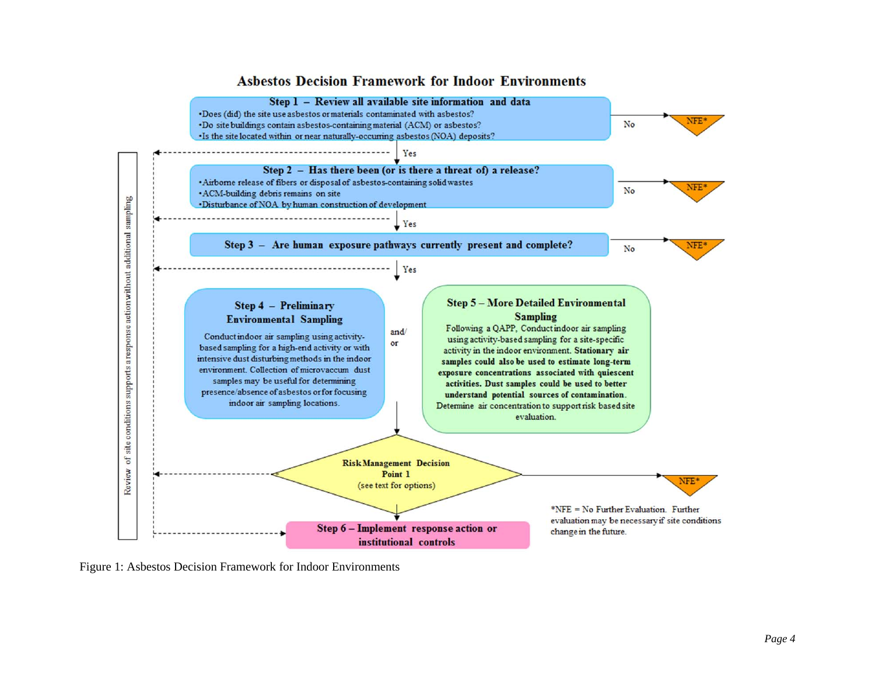



Figure 1: Asbestos Decision Framework for Indoor Environments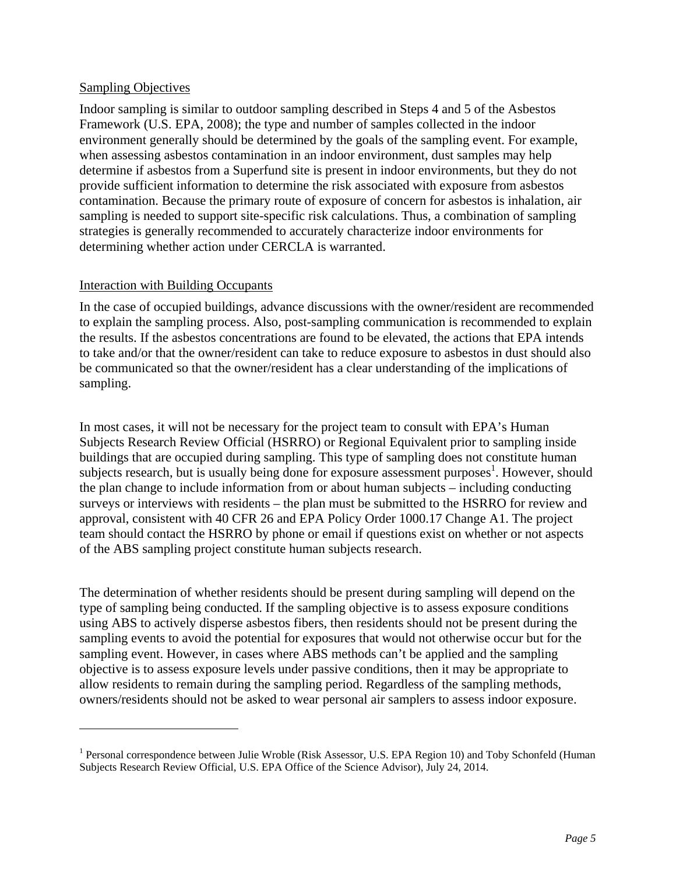# Sampling Objectives

 $\overline{a}$ 

Indoor sampling is similar to outdoor sampling described in Steps 4 and 5 of the Asbestos Framework (U.S. EPA, 2008); the type and number of samples collected in the indoor environment generally should be determined by the goals of the sampling event. For example, when assessing asbestos contamination in an indoor environment, dust samples may help determine if asbestos from a Superfund site is present in indoor environments, but they do not provide sufficient information to determine the risk associated with exposure from asbestos contamination. Because the primary route of exposure of concern for asbestos is inhalation, air sampling is needed to support site-specific risk calculations. Thus, a combination of sampling strategies is generally recommended to accurately characterize indoor environments for determining whether action under CERCLA is warranted.

#### Interaction with Building Occupants

In the case of occupied buildings, advance discussions with the owner/resident are recommended to explain the sampling process. Also, post-sampling communication is recommended to explain the results. If the asbestos concentrations are found to be elevated, the actions that EPA intends to take and/or that the owner/resident can take to reduce exposure to asbestos in dust should also be communicated so that the owner/resident has a clear understanding of the implications of sampling.

In most cases, it will not be necessary for the project team to consult with EPA's Human Subjects Research Review Official (HSRRO) or Regional Equivalent prior to sampling inside buildings that are occupied during sampling. This type of sampling does not constitute human subjects research, but is usually being done for exposure assessment purposes<sup>1</sup>. However, should the plan change to include information from or about human subjects – including conducting surveys or interviews with residents – the plan must be submitted to the HSRRO for review and approval, consistent with 40 CFR 26 and EPA Policy Order 1000.17 Change A1. The project team should contact the HSRRO by phone or email if questions exist on whether or not aspects of the ABS sampling project constitute human subjects research.

The determination of whether residents should be present during sampling will depend on the type of sampling being conducted. If the sampling objective is to assess exposure conditions using ABS to actively disperse asbestos fibers, then residents should not be present during the sampling events to avoid the potential for exposures that would not otherwise occur but for the sampling event. However, in cases where ABS methods can't be applied and the sampling objective is to assess exposure levels under passive conditions, then it may be appropriate to allow residents to remain during the sampling period. Regardless of the sampling methods, owners/residents should not be asked to wear personal air samplers to assess indoor exposure.

<sup>&</sup>lt;sup>1</sup> Personal correspondence between Julie Wroble (Risk Assessor, U.S. EPA Region 10) and Toby Schonfeld (Human Subjects Research Review Official, U.S. EPA Office of the Science Advisor), July 24, 2014.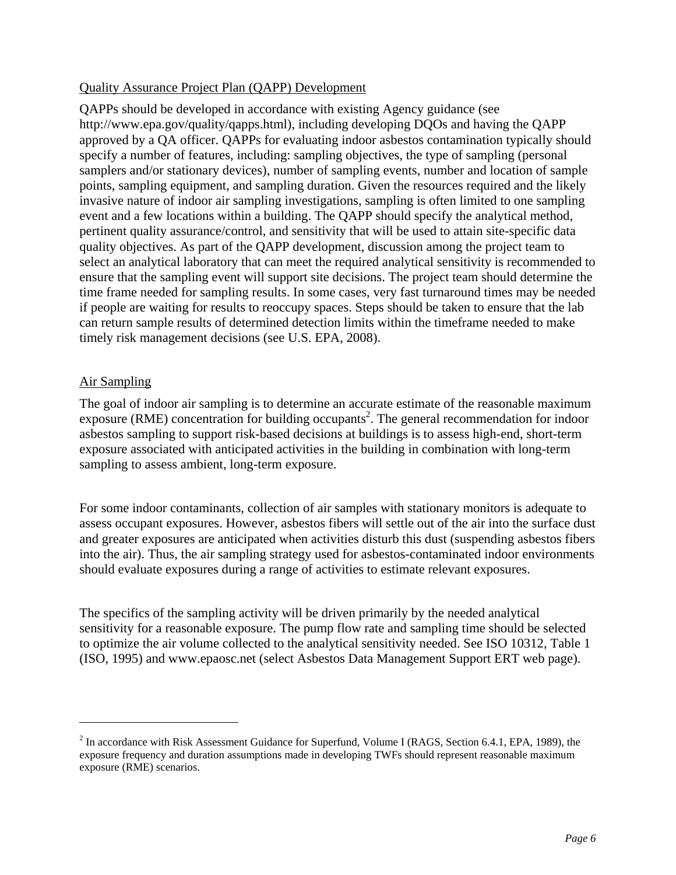# Quality Assurance Project Plan (QAPP) Development

QAPPs should be developed in accordance with existing Agency guidance (see http://www.epa.gov/quality/qapps.html), including developing DQOs and having the QAPP approved by a QA officer. QAPPs for evaluating indoor asbestos contamination typically should specify a number of features, including: sampling objectives, the type of sampling (personal samplers and/or stationary devices), number of sampling events, number and location of sample points, sampling equipment, and sampling duration. Given the resources required and the likely invasive nature of indoor air sampling investigations, sampling is often limited to one sampling event and a few locations within a building. The QAPP should specify the analytical method, pertinent quality assurance/control, and sensitivity that will be used to attain site-specific data quality objectives. As part of the QAPP development, discussion among the project team to select an analytical laboratory that can meet the required analytical sensitivity is recommended to ensure that the sampling event will support site decisions. The project team should determine the time frame needed for sampling results. In some cases, very fast turnaround times may be needed if people are waiting for results to reoccupy spaces. Steps should be taken to ensure that the lab can return sample results of determined detection limits within the timeframe needed to make timely risk management decisions (see U.S. EPA, 2008).

# Air Sampling

<u>.</u>

The goal of indoor air sampling is to determine an accurate estimate of the reasonable maximum exposure (RME) concentration for building occupants<sup>2</sup>. The general recommendation for indoor asbestos sampling to support risk-based decisions at buildings is to assess high-end, short-term exposure associated with anticipated activities in the building in combination with long-term sampling to assess ambient, long-term exposure.

For some indoor contaminants, collection of air samples with stationary monitors is adequate to assess occupant exposures. However, asbestos fibers will settle out of the air into the surface dust and greater exposures are anticipated when activities disturb this dust (suspending asbestos fibers into the air). Thus, the air sampling strategy used for asbestos-contaminated indoor environments should evaluate exposures during a range of activities to estimate relevant exposures.

The specifics of the sampling activity will be driven primarily by the needed analytical sensitivity for a reasonable exposure. The pump flow rate and sampling time should be selected to optimize the air volume collected to the analytical sensitivity needed. See ISO 10312, Table 1 (ISO, 1995) and www.epaosc.net (select Asbestos Data Management Support ERT web page).

 $2^2$  In accordance with Risk Assessment Guidance for Superfund, Volume I (RAGS, Section 6.4.1, EPA, 1989), the exposure frequency and duration assumptions made in developing TWFs should represent reasonable maximum exposure (RME) scenarios.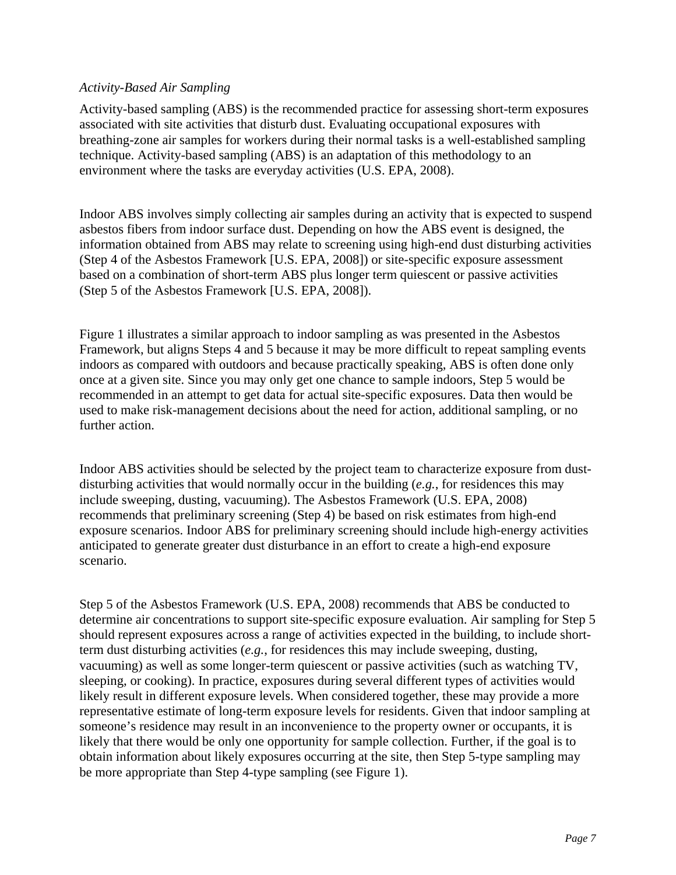# *Activity-Based Air Sampling*

Activity-based sampling (ABS) is the recommended practice for assessing short-term exposures associated with site activities that disturb dust. Evaluating occupational exposures with breathing-zone air samples for workers during their normal tasks is a well-established sampling technique. Activity-based sampling (ABS) is an adaptation of this methodology to an environment where the tasks are everyday activities (U.S. EPA, 2008).

Indoor ABS involves simply collecting air samples during an activity that is expected to suspend asbestos fibers from indoor surface dust. Depending on how the ABS event is designed, the information obtained from ABS may relate to screening using high-end dust disturbing activities (Step 4 of the Asbestos Framework [U.S. EPA, 2008]) or site-specific exposure assessment based on a combination of short-term ABS plus longer term quiescent or passive activities (Step 5 of the Asbestos Framework [U.S. EPA, 2008]).

Figure 1 illustrates a similar approach to indoor sampling as was presented in the Asbestos Framework, but aligns Steps 4 and 5 because it may be more difficult to repeat sampling events indoors as compared with outdoors and because practically speaking, ABS is often done only once at a given site. Since you may only get one chance to sample indoors, Step 5 would be recommended in an attempt to get data for actual site-specific exposures. Data then would be used to make risk-management decisions about the need for action, additional sampling, or no further action.

Indoor ABS activities should be selected by the project team to characterize exposure from dustdisturbing activities that would normally occur in the building (*e.g.*, for residences this may include sweeping, dusting, vacuuming). The Asbestos Framework (U.S. EPA, 2008) recommends that preliminary screening (Step 4) be based on risk estimates from high-end exposure scenarios. Indoor ABS for preliminary screening should include high-energy activities anticipated to generate greater dust disturbance in an effort to create a high-end exposure scenario.

Step 5 of the Asbestos Framework (U.S. EPA, 2008) recommends that ABS be conducted to determine air concentrations to support site-specific exposure evaluation. Air sampling for Step 5 should represent exposures across a range of activities expected in the building, to include shortterm dust disturbing activities (*e.g.*, for residences this may include sweeping, dusting, vacuuming) as well as some longer-term quiescent or passive activities (such as watching TV, sleeping, or cooking). In practice, exposures during several different types of activities would likely result in different exposure levels. When considered together, these may provide a more representative estimate of long-term exposure levels for residents. Given that indoor sampling at someone's residence may result in an inconvenience to the property owner or occupants, it is likely that there would be only one opportunity for sample collection. Further, if the goal is to obtain information about likely exposures occurring at the site, then Step 5-type sampling may be more appropriate than Step 4-type sampling (see Figure 1).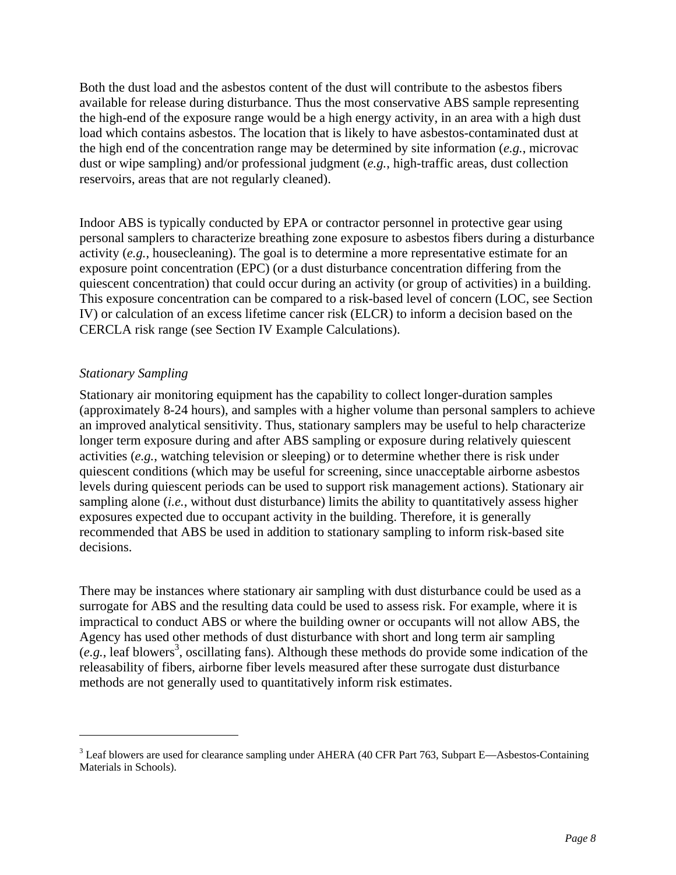Both the dust load and the asbestos content of the dust will contribute to the asbestos fibers available for release during disturbance. Thus the most conservative ABS sample representing the high-end of the exposure range would be a high energy activity, in an area with a high dust load which contains asbestos. The location that is likely to have asbestos-contaminated dust at the high end of the concentration range may be determined by site information (*e.g.*, microvac dust or wipe sampling) and/or professional judgment (*e.g.*, high-traffic areas, dust collection reservoirs, areas that are not regularly cleaned).

Indoor ABS is typically conducted by EPA or contractor personnel in protective gear using personal samplers to characterize breathing zone exposure to asbestos fibers during a disturbance activity (*e.g.*, housecleaning). The goal is to determine a more representative estimate for an exposure point concentration (EPC) (or a dust disturbance concentration differing from the quiescent concentration) that could occur during an activity (or group of activities) in a building. This exposure concentration can be compared to a risk-based level of concern (LOC, see Section IV) or calculation of an excess lifetime cancer risk (ELCR) to inform a decision based on the CERCLA risk range (see Section IV Example Calculations).

# *Stationary Sampling*

 $\overline{a}$ 

Stationary air monitoring equipment has the capability to collect longer-duration samples (approximately 8-24 hours), and samples with a higher volume than personal samplers to achieve an improved analytical sensitivity. Thus, stationary samplers may be useful to help characterize longer term exposure during and after ABS sampling or exposure during relatively quiescent activities (*e.g.*, watching television or sleeping) or to determine whether there is risk under quiescent conditions (which may be useful for screening, since unacceptable airborne asbestos levels during quiescent periods can be used to support risk management actions). Stationary air sampling alone (*i.e.*, without dust disturbance) limits the ability to quantitatively assess higher exposures expected due to occupant activity in the building. Therefore, it is generally recommended that ABS be used in addition to stationary sampling to inform risk-based site decisions.

There may be instances where stationary air sampling with dust disturbance could be used as a surrogate for ABS and the resulting data could be used to assess risk. For example, where it is impractical to conduct ABS or where the building owner or occupants will not allow ABS, the Agency has used other methods of dust disturbance with short and long term air sampling (e.g., leaf blowers<sup>3</sup>, oscillating fans). Although these methods do provide some indication of the releasability of fibers, airborne fiber levels measured after these surrogate dust disturbance methods are not generally used to quantitatively inform risk estimates.

 $3$  Leaf blowers are used for clearance sampling under AHERA (40 CFR Part 763, Subpart E—Asbestos-Containing Materials in Schools).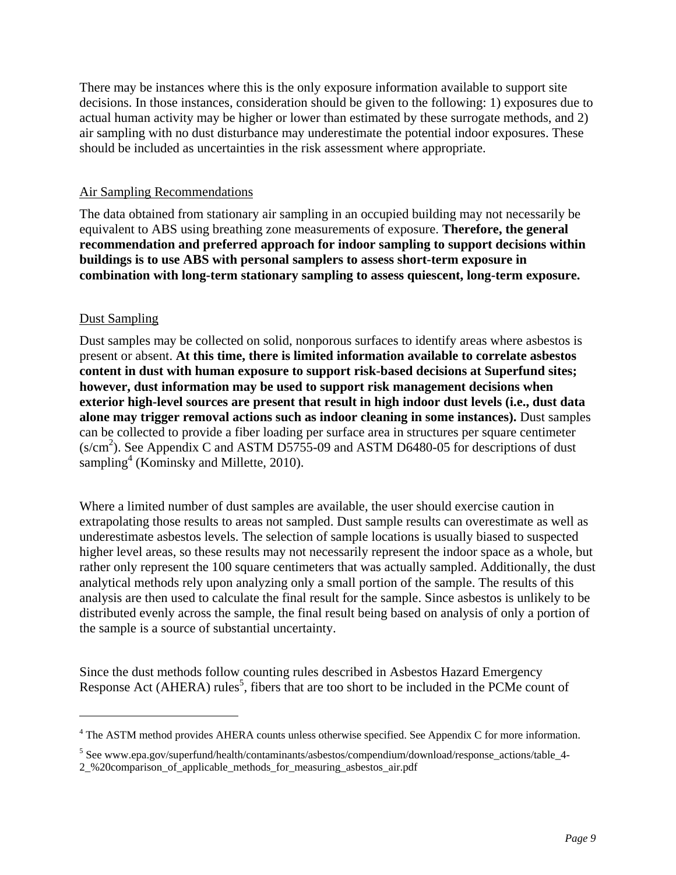There may be instances where this is the only exposure information available to support site decisions. In those instances, consideration should be given to the following: 1) exposures due to actual human activity may be higher or lower than estimated by these surrogate methods, and 2) air sampling with no dust disturbance may underestimate the potential indoor exposures. These should be included as uncertainties in the risk assessment where appropriate.

#### Air Sampling Recommendations

The data obtained from stationary air sampling in an occupied building may not necessarily be equivalent to ABS using breathing zone measurements of exposure. **Therefore, the general recommendation and preferred approach for indoor sampling to support decisions within buildings is to use ABS with personal samplers to assess short-term exposure in combination with long-term stationary sampling to assess quiescent, long-term exposure.** 

#### Dust Sampling

 $\overline{a}$ 

Dust samples may be collected on solid, nonporous surfaces to identify areas where asbestos is present or absent. **At this time, there is limited information available to correlate asbestos content in dust with human exposure to support risk-based decisions at Superfund sites; however, dust information may be used to support risk management decisions when exterior high-level sources are present that result in high indoor dust levels (i.e., dust data alone may trigger removal actions such as indoor cleaning in some instances).** Dust samples can be collected to provide a fiber loading per surface area in structures per square centimeter  $(s/cm<sup>2</sup>)$ . See Appendix C and ASTM D5755-09 and ASTM D6480-05 for descriptions of dust sampling<sup>4</sup> (Kominsky and Millette, 2010).

Where a limited number of dust samples are available, the user should exercise caution in extrapolating those results to areas not sampled. Dust sample results can overestimate as well as underestimate asbestos levels. The selection of sample locations is usually biased to suspected higher level areas, so these results may not necessarily represent the indoor space as a whole, but rather only represent the 100 square centimeters that was actually sampled. Additionally, the dust analytical methods rely upon analyzing only a small portion of the sample. The results of this analysis are then used to calculate the final result for the sample. Since asbestos is unlikely to be distributed evenly across the sample, the final result being based on analysis of only a portion of the sample is a source of substantial uncertainty.

Since the dust methods follow counting rules described in Asbestos Hazard Emergency Response Act (AHERA) rules<sup>5</sup>, fibers that are too short to be included in the PCMe count of

<sup>&</sup>lt;sup>4</sup> The ASTM method provides AHERA counts unless otherwise specified. See Appendix C for more information.

<sup>&</sup>lt;sup>5</sup> See www.epa.gov/superfund/health/contaminants/asbestos/compendium/download/response\_actions/table\_4

<sup>2</sup>\_%20comparison\_of\_applicable\_methods\_for\_measuring\_asbestos\_air.pdf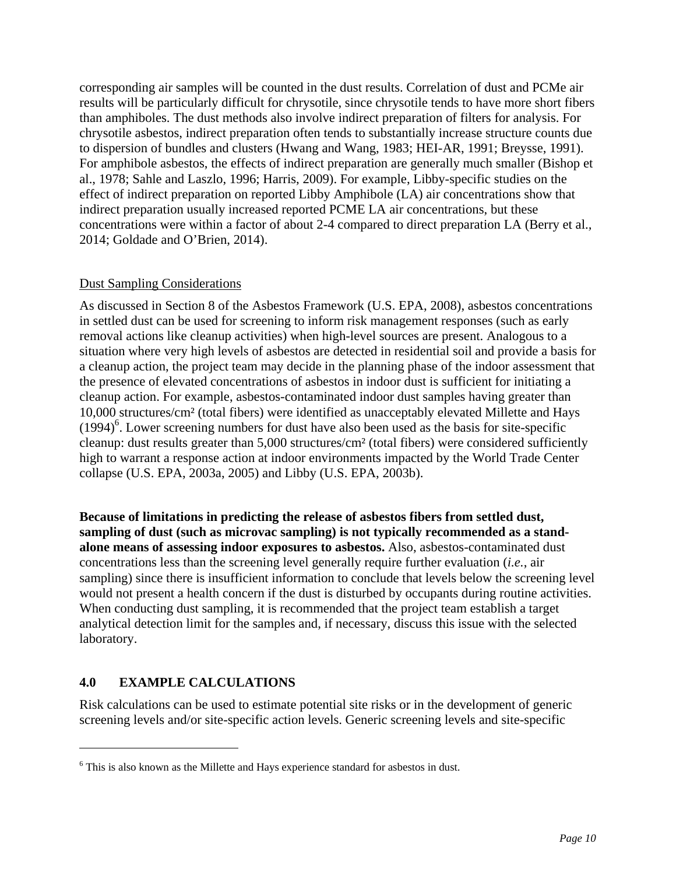corresponding air samples will be counted in the dust results. Correlation of dust and PCMe air results will be particularly difficult for chrysotile, since chrysotile tends to have more short fibers than amphiboles. The dust methods also involve indirect preparation of filters for analysis. For chrysotile asbestos, indirect preparation often tends to substantially increase structure counts due to dispersion of bundles and clusters (Hwang and Wang, 1983; HEI-AR, 1991; Breysse, 1991). For amphibole asbestos, the effects of indirect preparation are generally much smaller (Bishop et al., 1978; Sahle and Laszlo, 1996; Harris, 2009). For example, Libby-specific studies on the effect of indirect preparation on reported Libby Amphibole (LA) air concentrations show that indirect preparation usually increased reported PCME LA air concentrations, but these concentrations were within a factor of about 2-4 compared to direct preparation LA (Berry et al.*,*  2014; Goldade and O'Brien, 2014).

#### Dust Sampling Considerations

As discussed in Section 8 of the Asbestos Framework (U.S. EPA, 2008), asbestos concentrations in settled dust can be used for screening to inform risk management responses (such as early removal actions like cleanup activities) when high-level sources are present. Analogous to a situation where very high levels of asbestos are detected in residential soil and provide a basis for a cleanup action, the project team may decide in the planning phase of the indoor assessment that the presence of elevated concentrations of asbestos in indoor dust is sufficient for initiating a cleanup action. For example, asbestos-contaminated indoor dust samples having greater than 10,000 structures/cm² (total fibers) were identified as unacceptably elevated Millette and Hays  $(1994)^6$ . Lower screening numbers for dust have also been used as the basis for site-specific cleanup: dust results greater than 5,000 structures/cm² (total fibers) were considered sufficiently high to warrant a response action at indoor environments impacted by the World Trade Center collapse (U.S. EPA, 2003a, 2005) and Libby (U.S. EPA, 2003b).

**Because of limitations in predicting the release of asbestos fibers from settled dust, sampling of dust (such as microvac sampling) is not typically recommended as a standalone means of assessing indoor exposures to asbestos.** Also, asbestos-contaminated dust concentrations less than the screening level generally require further evaluation (*i.e.*, air sampling) since there is insufficient information to conclude that levels below the screening level would not present a health concern if the dust is disturbed by occupants during routine activities. When conducting dust sampling, it is recommended that the project team establish a target analytical detection limit for the samples and, if necessary, discuss this issue with the selected laboratory.

#### **4.0 EXAMPLE CALCULATIONS**

 $\overline{a}$ 

Risk calculations can be used to estimate potential site risks or in the development of generic screening levels and/or site-specific action levels. Generic screening levels and site-specific

<sup>&</sup>lt;sup>6</sup> This is also known as the Millette and Hays experience standard for asbestos in dust.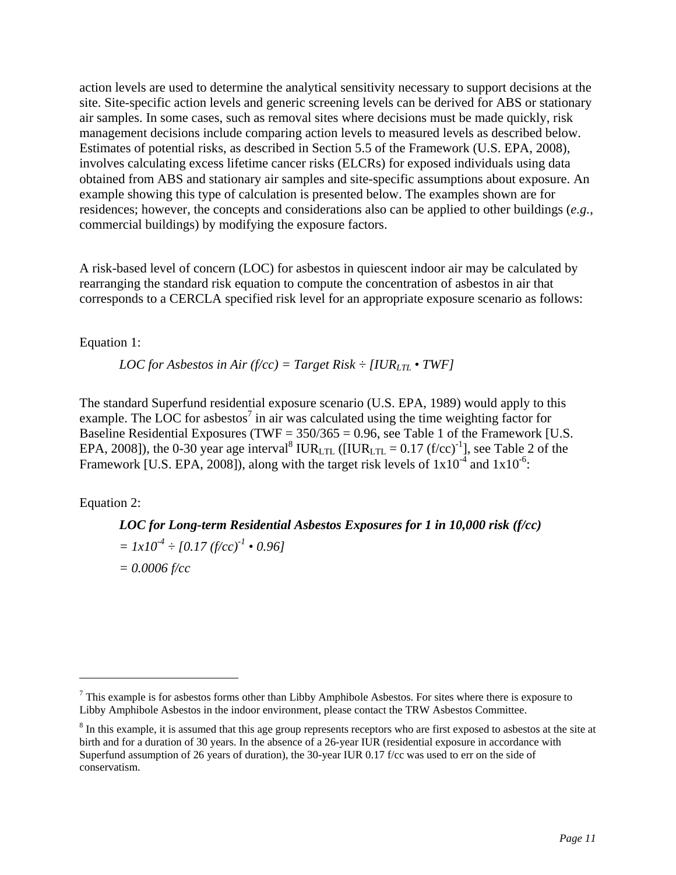action levels are used to determine the analytical sensitivity necessary to support decisions at the site. Site-specific action levels and generic screening levels can be derived for ABS or stationary air samples. In some cases, such as removal sites where decisions must be made quickly, risk management decisions include comparing action levels to measured levels as described below. Estimates of potential risks, as described in Section 5.5 of the Framework (U.S. EPA, 2008), involves calculating excess lifetime cancer risks (ELCRs) for exposed individuals using data obtained from ABS and stationary air samples and site-specific assumptions about exposure. An example showing this type of calculation is presented below. The examples shown are for residences; however, the concepts and considerations also can be applied to other buildings (*e.g.*, commercial buildings) by modifying the exposure factors.

A risk-based level of concern (LOC) for asbestos in quiescent indoor air may be calculated by rearranging the standard risk equation to compute the concentration of asbestos in air that corresponds to a CERCLA specified risk level for an appropriate exposure scenario as follows:

Equation 1:

*LOC for Asbestos in Air (f/cc) = Target Risk*  $\div$  *[IUR<sub>LTL</sub> • TWF]* 

The standard Superfund residential exposure scenario (U.S. EPA, 1989) would apply to this example. The LOC for asbestos<sup>7</sup> in air was calculated using the time weighting factor for Baseline Residential Exposures (TWF =  $350/365 = 0.96$ , see Table 1 of the Framework [U.S. EPA, 2008]), the 0-30 year age interval<sup>8</sup> IUR<sub>LTL</sub> ([IUR<sub>LTL</sub> = 0.17 (f/cc)<sup>-1</sup>], see Table 2 of the Framework [U.S. EPA, 2008]), along with the target risk levels of  $1x10^{-4}$  and  $1x10^{-6}$ .

Equation 2:

 $\overline{a}$ 

*LOC for Long-term Residential Asbestos Exposures for 1 in 10,000 risk (f/cc)*   $= 1x10^{-4} \div [0.17 (f/cc)^{-1} \cdot 0.96]$ *= 0.0006 f/cc* 

 $<sup>7</sup>$  This example is for asbestos forms other than Libby Amphibole Asbestos. For sites where there is exposure to</sup> Libby Amphibole Asbestos in the indoor environment, please contact the TRW Asbestos Committee.

 birth and for a duration of 30 years. In the absence of a 26-year IUR (residential exposure in accordance with Superfund assumption of 26 years of duration), the 30-year IUR 0.17 f/cc was used to err on the side of  $8 \text{ In this example, it is is assumed that this age group represents receptors who are first exposed to asbestos at the site at } 8 \text{.}$ conservatism.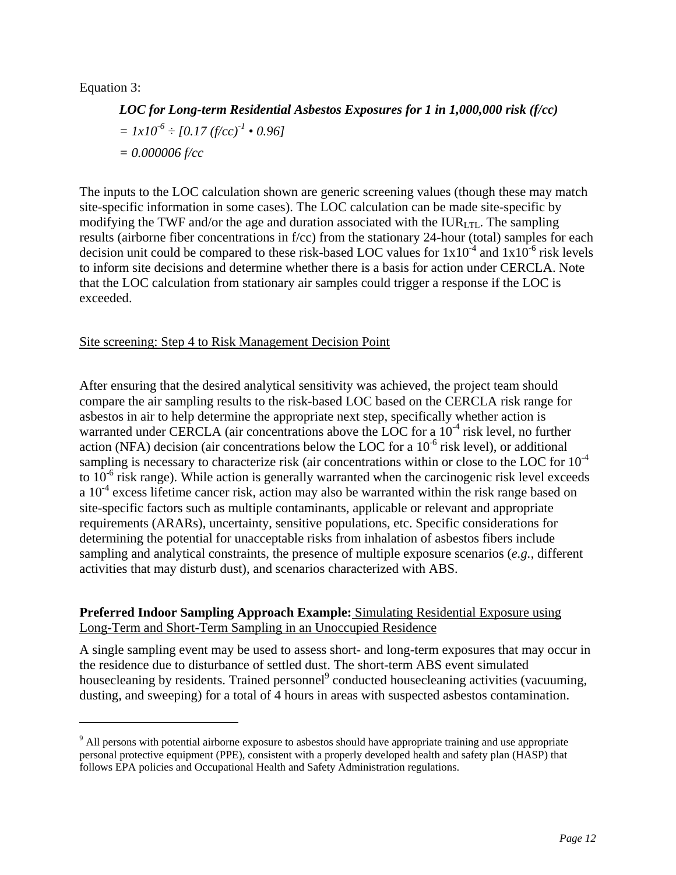# Equation 3:

<u>.</u>

# *LOC for Long-term Residential Asbestos Exposures for 1 in 1,000,000 risk (f/cc)*   $= 1x10^{-6} \div [0.17 (f/cc)^{-1} \cdot 0.96]$ *= 0.000006 f/cc*

The inputs to the LOC calculation shown are generic screening values (though these may match site-specific information in some cases). The LOC calculation can be made site-specific by modifying the TWF and/or the age and duration associated with the  $IUR<sub>LTL</sub>$ . The sampling results (airborne fiber concentrations in f/cc) from the stationary 24-hour (total) samples for each decision unit could be compared to these risk-based LOC values for  $1x10^{-4}$  and  $1x10^{-6}$  risk levels to inform site decisions and determine whether there is a basis for action under CERCLA. Note that the LOC calculation from stationary air samples could trigger a response if the LOC is exceeded.

#### Site screening: Step 4 to Risk Management Decision Point

After ensuring that the desired analytical sensitivity was achieved, the project team should compare the air sampling results to the risk-based LOC based on the CERCLA risk range for asbestos in air to help determine the appropriate next step, specifically whether action is warranted under CERCLA (air concentrations above the LOC for a  $10^{-4}$  risk level, no further action (NFA) decision (air concentrations below the LOC for a  $10^{-6}$  risk level), or additional sampling is necessary to characterize risk (air concentrations within or close to the LOC for  $10^{-4}$ ) to  $10^{-6}$  risk range). While action is generally warranted when the carcinogenic risk level exceeds a  $10^{-4}$  excess lifetime cancer risk, action may also be warranted within the risk range based on site-specific factors such as multiple contaminants, applicable or relevant and appropriate requirements (ARARs), uncertainty, sensitive populations, etc. Specific considerations for determining the potential for unacceptable risks from inhalation of asbestos fibers include sampling and analytical constraints, the presence of multiple exposure scenarios (*e.g.*, different activities that may disturb dust), and scenarios characterized with ABS.

# **Preferred Indoor Sampling Approach Example:** Simulating Residential Exposure using Long-Term and Short-Term Sampling in an Unoccupied Residence

A single sampling event may be used to assess short- and long-term exposures that may occur in the residence due to disturbance of settled dust. The short-term ABS event simulated housecleaning by residents. Trained personnel<sup>9</sup> conducted housecleaning activities (vacuuming, dusting, and sweeping) for a total of 4 hours in areas with suspected asbestos contamination.

 $9$  All persons with potential airborne exposure to asbestos should have appropriate training and use appropriate personal protective equipment (PPE), consistent with a properly developed health and safety plan (HASP) that follows EPA policies and Occupational Health and Safety Administration regulations.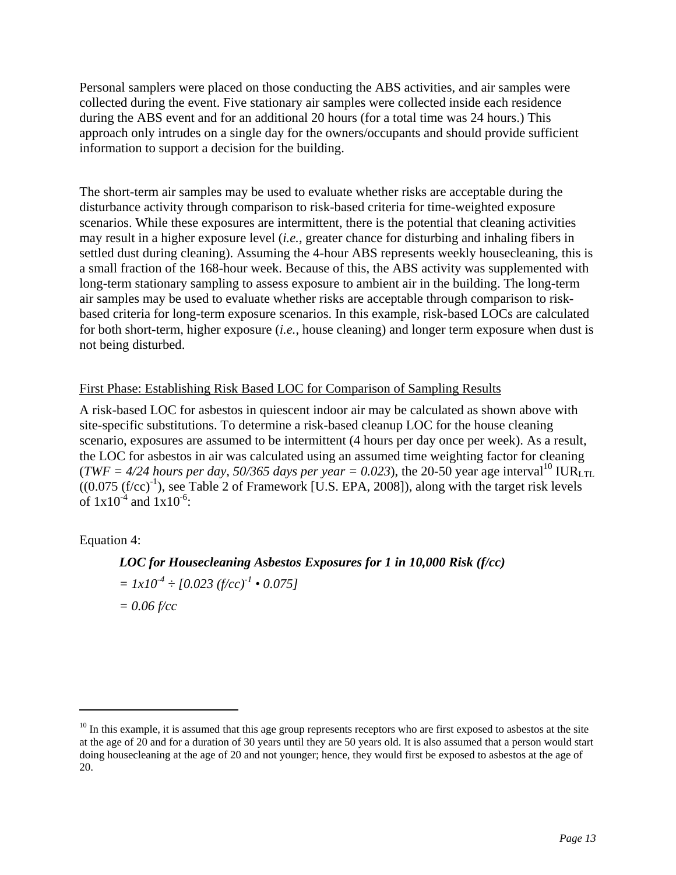Personal samplers were placed on those conducting the ABS activities, and air samples were collected during the event. Five stationary air samples were collected inside each residence during the ABS event and for an additional 20 hours (for a total time was 24 hours.) This approach only intrudes on a single day for the owners/occupants and should provide sufficient information to support a decision for the building.

The short-term air samples may be used to evaluate whether risks are acceptable during the disturbance activity through comparison to risk-based criteria for time-weighted exposure scenarios. While these exposures are intermittent, there is the potential that cleaning activities may result in a higher exposure level (*i.e.*, greater chance for disturbing and inhaling fibers in settled dust during cleaning). Assuming the 4-hour ABS represents weekly housecleaning, this is a small fraction of the 168-hour week. Because of this, the ABS activity was supplemented with long-term stationary sampling to assess exposure to ambient air in the building. The long-term air samples may be used to evaluate whether risks are acceptable through comparison to riskbased criteria for long-term exposure scenarios. In this example, risk-based LOCs are calculated for both short-term, higher exposure (*i.e.*, house cleaning) and longer term exposure when dust is not being disturbed.

#### First Phase: Establishing Risk Based LOC for Comparison of Sampling Results

A risk-based LOC for asbestos in quiescent indoor air may be calculated as shown above with site-specific substitutions. To determine a risk-based cleanup LOC for the house cleaning scenario, exposures are assumed to be intermittent (4 hours per day once per week). As a result, the LOC for asbestos in air was calculated using an assumed time weighting factor for cleaning (*TWF = 4/24 hours per day, 50/365 days per year = 0.023*), the 20-50 year age interval<sup>10</sup> IUR<sub>LTL</sub>  $((0.075 (f/cc)^{-1})$ , see Table 2 of Framework [U.S. EPA, 2008]), along with the target risk levels of  $1x10^{-4}$  and  $1x10^{-6}$ :

#### Equation 4:

 $\overline{a}$ 

# *LOC for Housecleaning Asbestos Exposures for 1 in 10,000 Risk (f/cc)*

 $= 1x10^{-4} \div [0.023 \, (\text{f/cc})^{-1} \cdot 0.075]$ *= 0.06 f/cc* 

 $10$  In this example, it is assumed that this age group represents receptors who are first exposed to asbestos at the site at the age of 20 and for a duration of 30 years until they are 50 years old. It is also assumed that a person would start doing housecleaning at the age of 20 and not younger; hence, they would first be exposed to asbestos at the age of 20.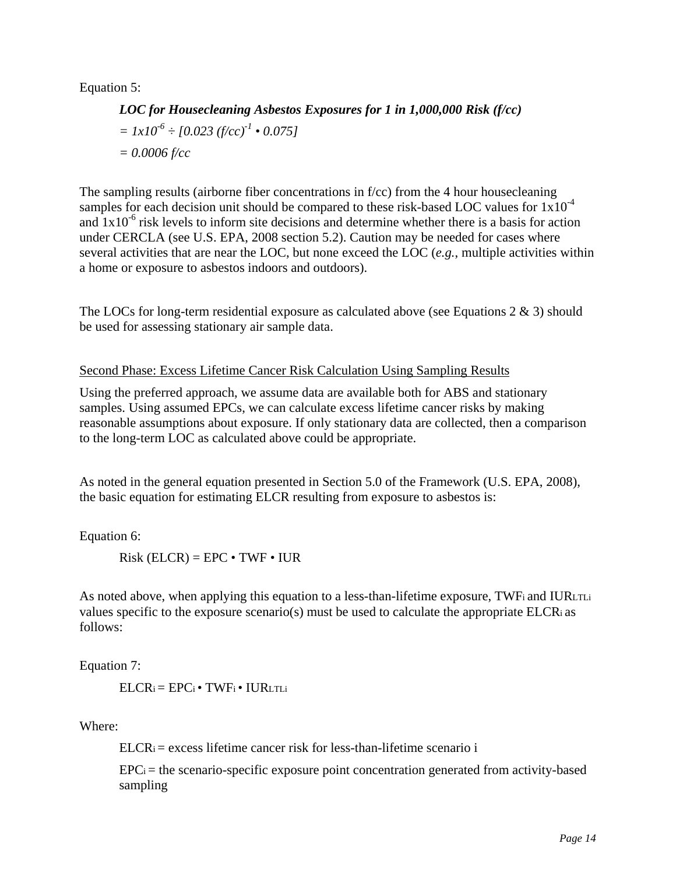Equation 5:

*LOC for Housecleaning Asbestos Exposures for 1 in 1,000,000 Risk (f/cc)*   $= 1x10^{-6} \div [0.023 \, (\text{f/cc})^1 \cdot 0.075]$ *= 0.0006 f/cc* 

The sampling results (airborne fiber concentrations in f/cc) from the 4 hour housecleaning samples for each decision unit should be compared to these risk-based LOC values for  $1x10^{-4}$ and  $1x10^{-6}$  risk levels to inform site decisions and determine whether there is a basis for action under CERCLA (see U.S. EPA, 2008 section 5.2). Caution may be needed for cases where several activities that are near the LOC, but none exceed the LOC (*e.g.*, multiple activities within a home or exposure to asbestos indoors and outdoors).

The LOCs for long-term residential exposure as calculated above (see Equations 2 & 3) should be used for assessing stationary air sample data.

#### Second Phase: Excess Lifetime Cancer Risk Calculation Using Sampling Results

Using the preferred approach, we assume data are available both for ABS and stationary samples. Using assumed EPCs, we can calculate excess lifetime cancer risks by making reasonable assumptions about exposure. If only stationary data are collected, then a comparison to the long-term LOC as calculated above could be appropriate.

As noted in the general equation presented in Section 5.0 of the Framework (U.S. EPA, 2008), the basic equation for estimating ELCR resulting from exposure to asbestos is:

Equation 6:

 $Risk (ELCR) = EPC • TWF • IUR$ 

As noted above, when applying this equation to a less-than-lifetime exposure, TWF and IURLTLI values specific to the exposure scenario(s) must be used to calculate the appropriate ELCRi as follows:

Equation 7:

 $ELCR_i = EPC_i \cdot TWF_i \cdot IURLTL_i$ 

Where:

 $ELCR<sub>i</sub> = excess lifetime cancer risk for less-than-life time scenario i$ 

 $EPC_i$  = the scenario-specific exposure point concentration generated from activity-based sampling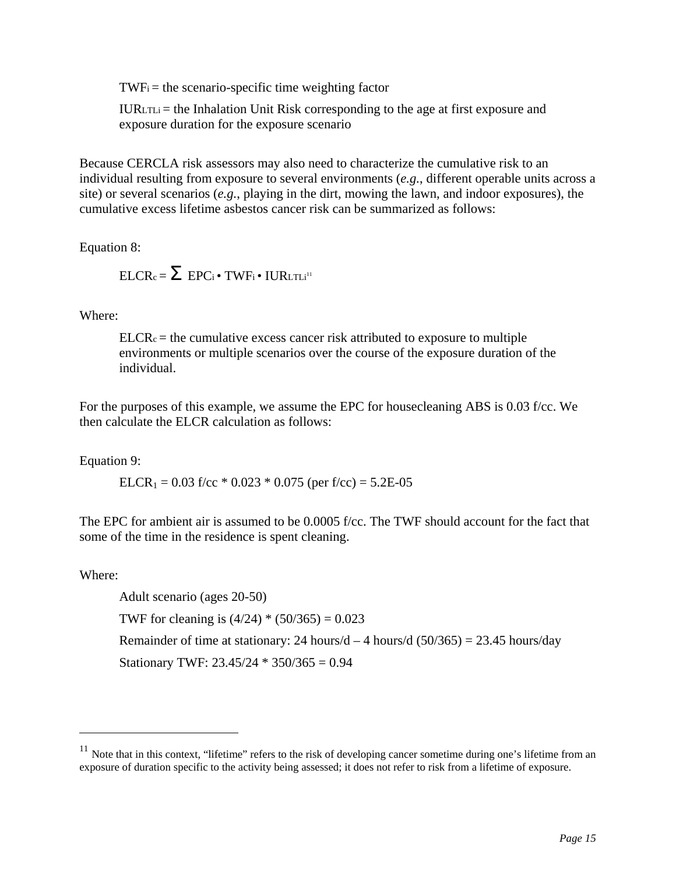$TWF_i =$  the scenario-specific time weighting factor

 $IURLTLi = the Inhalation Unit Risk corresponding to the age at first exposure and$ exposure duration for the exposure scenario

Because CERCLA risk assessors may also need to characterize the cumulative risk to an individual resulting from exposure to several environments (*e.g.*, different operable units across a site) or several scenarios (*e.g.*, playing in the dirt, mowing the lawn, and indoor exposures), the cumulative excess lifetime asbestos cancer risk can be summarized as follows:

Equation 8:

$$
ELCR_c = \sum~EPC_i \bullet \text{TWF}_i \bullet \text{IURLTLi}^{\text{II}}
$$

Where:

 $ELCR<sub>c</sub> =$  the cumulative excess cancer risk attributed to exposure to multiple environments or multiple scenarios over the course of the exposure duration of the individual.

For the purposes of this example, we assume the EPC for housecleaning ABS is 0.03 f/cc. We then calculate the ELCR calculation as follows:

Equation 9:

ELCR<sub>1</sub> = 0.03 f/cc  $*$  0.023  $*$  0.075 (per f/cc) = 5.2E-05

The EPC for ambient air is assumed to be 0.0005 f/cc. The TWF should account for the fact that some of the time in the residence is spent cleaning.

Where:

 $\overline{a}$ 

Adult scenario (ages 20-50) TWF for cleaning is  $(4/24)$  \*  $(50/365) = 0.023$ Remainder of time at stationary: 24 hours/d  $-4$  hours/d (50/365) = 23.45 hours/day Stationary TWF:  $23.45/24 * 350/365 = 0.94$ 

 $11$  Note that in this context, "lifetime" refers to the risk of developing cancer sometime during one's lifetime from an exposure of duration specific to the activity being assessed; it does not refer to risk from a lifetime of exposure.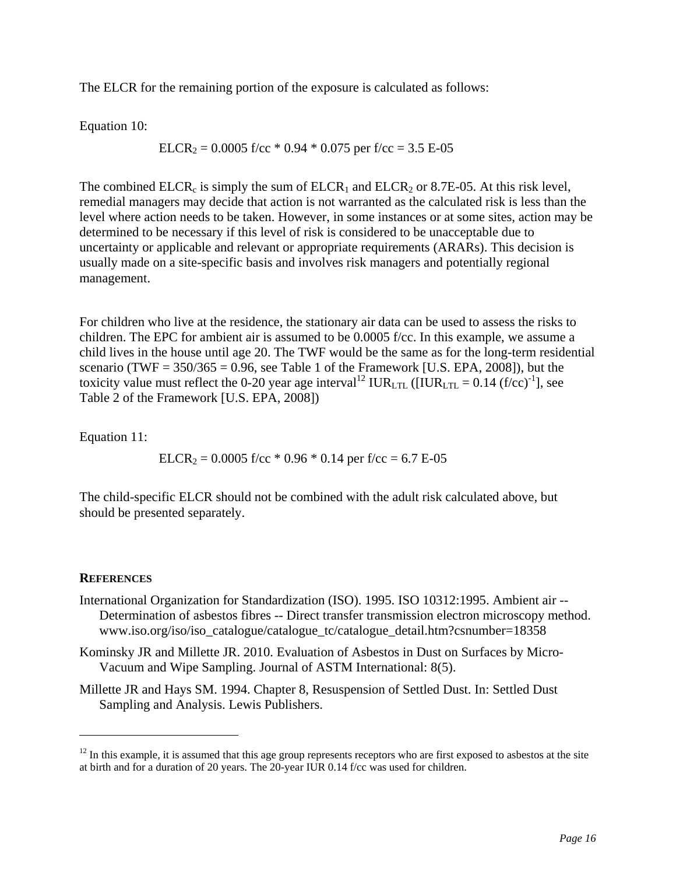The ELCR for the remaining portion of the exposure is calculated as follows:

Equation 10:

$$
ELCR_2 = 0.0005 \text{ f/cc} * 0.94 * 0.075 \text{ per f/cc} = 3.5 \text{ E-05}
$$

The combined ELCR<sub>c</sub> is simply the sum of ELCR<sub>1</sub> and ELCR<sub>2</sub> or 8.7E-05. At this risk level, remedial managers may decide that action is not warranted as the calculated risk is less than the level where action needs to be taken. However, in some instances or at some sites, action may be determined to be necessary if this level of risk is considered to be unacceptable due to uncertainty or applicable and relevant or appropriate requirements (ARARs). This decision is usually made on a site-specific basis and involves risk managers and potentially regional management.

For children who live at the residence, the stationary air data can be used to assess the risks to children. The EPC for ambient air is assumed to be 0.0005 f/cc. In this example, we assume a child lives in the house until age 20. The TWF would be the same as for the long-term residential scenario (TWF =  $350/365 = 0.96$ , see Table 1 of the Framework [U.S. EPA, 2008]), but the toxicity value must reflect the 0-20 year age interval<sup>12</sup> IUR<sub>LTL</sub> ( $[IUR_{LTL} = 0.14$  (f/cc)<sup>-1</sup>], see Table 2 of the Framework [U.S. EPA, 2008])

Equation 11:

ELCR<sub>2</sub> = 0.0005 f/cc  $*$  0.96  $*$  0.14 per f/cc = 6.7 E-05

The child-specific ELCR should not be combined with the adult risk calculated above, but should be presented separately.

# **REFERENCES**

 $\overline{a}$ 

- International Organization for Standardization (ISO). 1995. ISO 10312:1995. Ambient air -- Determination of asbestos fibres -- Direct transfer transmission electron microscopy method. www.iso.org/iso/iso\_catalogue/catalogue\_tc/catalogue\_detail.htm?csnumber=18358
- Kominsky JR and Millette JR. 2010. Evaluation of Asbestos in Dust on Surfaces by Micro-Vacuum and Wipe Sampling. Journal of ASTM International: 8(5).
- Millette JR and Hays SM. 1994. Chapter 8, Resuspension of Settled Dust. In: Settled Dust Sampling and Analysis. Lewis Publishers.

 $12$  In this example, it is assumed that this age group represents receptors who are first exposed to asbestos at the site at birth and for a duration of 20 years. The 20-year IUR 0.14 f/cc was used for children.